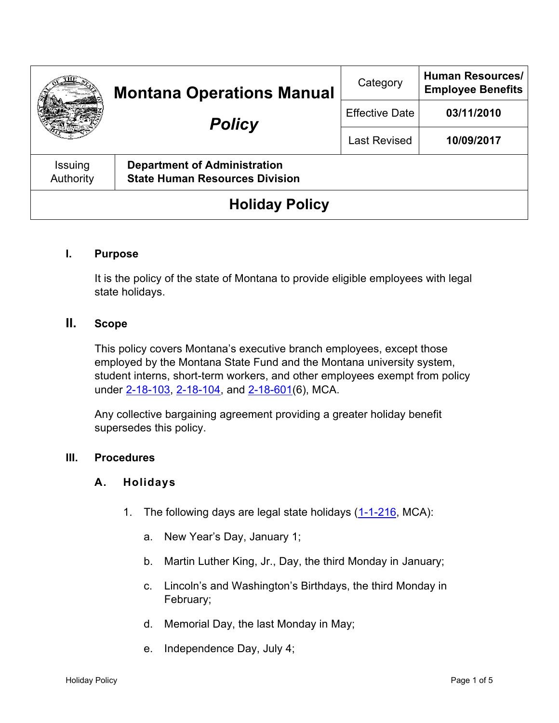|                       | <b>Montana Operations Manual</b><br><b>Policy</b>                            | Category              | <b>Human Resources/</b><br><b>Employee Benefits</b> |
|-----------------------|------------------------------------------------------------------------------|-----------------------|-----------------------------------------------------|
|                       |                                                                              | <b>Effective Date</b> | 03/11/2010                                          |
|                       |                                                                              | <b>Last Revised</b>   | 10/09/2017                                          |
| Issuing<br>Authority  | <b>Department of Administration</b><br><b>State Human Resources Division</b> |                       |                                                     |
| <b>Holiday Policy</b> |                                                                              |                       |                                                     |

### **I. Purpose**

It is the policy of the state of Montana to provide eligible employees with legal state holidays.

# **II. Scope**

This policy covers Montana's executive branch employees, except those employed by the Montana State Fund and the Montana university system, student interns, short-term workers, and other employees exempt from policy under [2-18-103,](https://leg.mt.gov/bills/mca/title_0020/chapter_0180/part_0010/section_0030/0020-0180-0010-0030.html) [2-18-104,](https://leg.mt.gov/bills/mca/title_0020/chapter_0180/part_0010/section_0040/0020-0180-0010-0040.html) and [2-18-601\(](https://leg.mt.gov/bills/mca/title_0020/chapter_0180/part_0060/section_0010/0020-0180-0060-0010.html)6), MCA.

Any collective bargaining agreement providing a greater holiday benefit supersedes this policy.

#### **III. Procedures**

#### **A. Holidays**

- 1. The following days are legal state holidays [\(1-1-216,](https://leg.mt.gov/bills/mca/title_0010/chapter_0010/part_0020/section_0160/0010-0010-0020-0160.html) MCA):
	- a. New Year's Day, January 1;
	- b. Martin Luther King, Jr., Day, the third Monday in January;
	- c. Lincoln's and Washington's Birthdays, the third Monday in February;
	- d. Memorial Day, the last Monday in May;
	- e. Independence Day, July 4;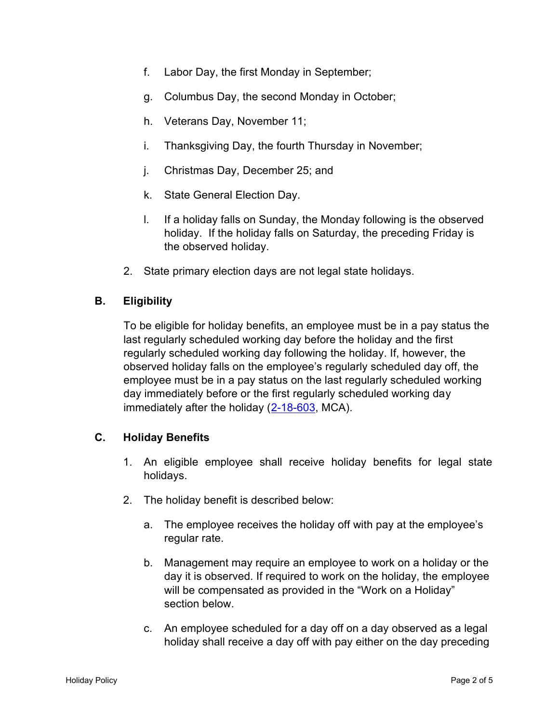- f. Labor Day, the first Monday in September;
- g. Columbus Day, the second Monday in October;
- h. Veterans Day, November 11;
- i. Thanksgiving Day, the fourth Thursday in November;
- j. Christmas Day, December 25; and
- k. State General Election Day.
- l. If a holiday falls on Sunday, the Monday following is the observed holiday. If the holiday falls on Saturday, the preceding Friday is the observed holiday.
- 2. State primary election days are not legal state holidays.

# **B. Eligibility**

To be eligible for holiday benefits, an employee must be in a pay status the last regularly scheduled working day before the holiday and the first regularly scheduled working day following the holiday. If, however, the observed holiday falls on the employee's regularly scheduled day off, the employee must be in a pay status on the last regularly scheduled working day immediately before or the first regularly scheduled working day immediately after the holiday [\(2-18-603,](https://leg.mt.gov/bills/mca/title_0020/chapter_0180/part_0060/section_0030/0020-0180-0060-0030.html) MCA).

# **C. Holiday Benefits**

- 1. An eligible employee shall receive holiday benefits for legal state holidays.
- 2. The holiday benefit is described below:
	- a. The employee receives the holiday off with pay at the employee's regular rate.
	- b. Management may require an employee to work on a holiday or the day it is observed. If required to work on the holiday, the employee will be compensated as provided in the "Work on a Holiday" section below.
	- c. An employee scheduled for a day off on a day observed as a legal holiday shall receive a day off with pay either on the day preceding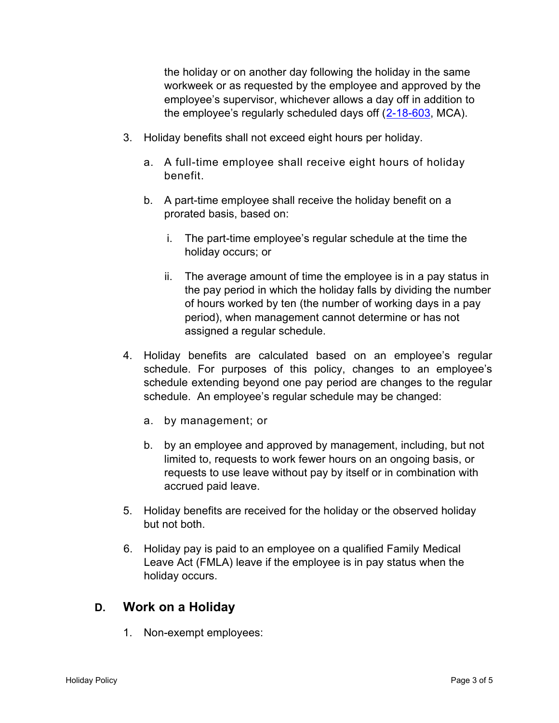the holiday or on another day following the holiday in the same workweek or as requested by the employee and approved by the employee's supervisor, whichever allows a day off in addition to the employee's regularly scheduled days off ([2-18-603,](https://leg.mt.gov/bills/mca/title_0020/chapter_0180/part_0060/section_0030/0020-0180-0060-0030.html) MCA).

- 3. Holiday benefits shall not exceed eight hours per holiday.
	- a. A full-time employee shall receive eight hours of holiday benefit.
	- b. A part-time employee shall receive the holiday benefit on a prorated basis, based on:
		- i. The part-time employee's regular schedule at the time the holiday occurs; or
		- ii. The average amount of time the employee is in a pay status in the pay period in which the holiday falls by dividing the number of hours worked by ten (the number of working days in a pay period), when management cannot determine or has not assigned a regular schedule.
- 4. Holiday benefits are calculated based on an employee's regular schedule. For purposes of this policy, changes to an employee's schedule extending beyond one pay period are changes to the regular schedule. An employee's regular schedule may be changed:
	- a. by management; or
	- b. by an employee and approved by management, including, but not limited to, requests to work fewer hours on an ongoing basis, or requests to use leave without pay by itself or in combination with accrued paid leave.
- 5. Holiday benefits are received for the holiday or the observed holiday but not both.
- 6. Holiday pay is paid to an employee on a qualified Family Medical Leave Act (FMLA) leave if the employee is in pay status when the holiday occurs.

# **D. Work on a Holiday**

1. Non-exempt employees: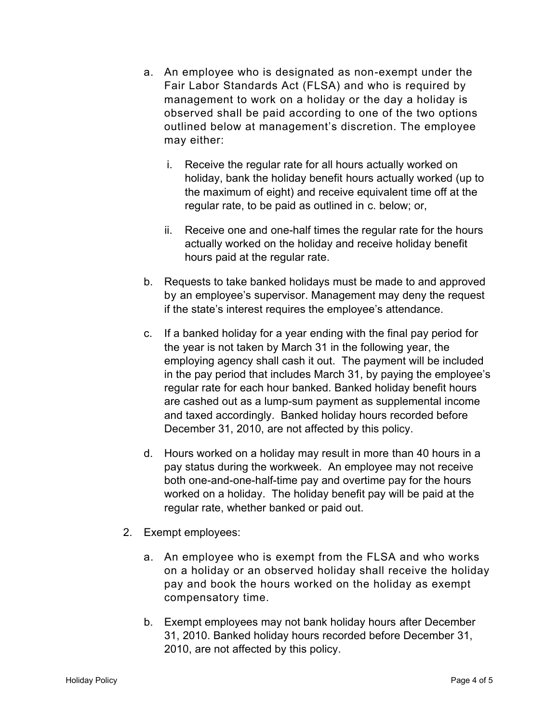- a. An employee who is designated as non-exempt under the Fair Labor Standards Act (FLSA) and who is required by management to work on a holiday or the day a holiday is observed shall be paid according to one of the two options outlined below at management's discretion. The employee may either:
	- i. Receive the regular rate for all hours actually worked on holiday, bank the holiday benefit hours actually worked (up to the maximum of eight) and receive equivalent time off at the regular rate, to be paid as outlined in c. below; or,
	- ii. Receive one and one-half times the regular rate for the hours actually worked on the holiday and receive holiday benefit hours paid at the regular rate.
- b. Requests to take banked holidays must be made to and approved by an employee's supervisor. Management may deny the request if the state's interest requires the employee's attendance.
- c. If a banked holiday for a year ending with the final pay period for the year is not taken by March 31 in the following year, the employing agency shall cash it out. The payment will be included in the pay period that includes March 31, by paying the employee's regular rate for each hour banked. Banked holiday benefit hours are cashed out as a lump-sum payment as supplemental income and taxed accordingly. Banked holiday hours recorded before December 31, 2010, are not affected by this policy.
- d. Hours worked on a holiday may result in more than 40 hours in a pay status during the workweek. An employee may not receive both one-and-one-half-time pay and overtime pay for the hours worked on a holiday. The holiday benefit pay will be paid at the regular rate, whether banked or paid out.
- 2. Exempt employees:
	- a. An employee who is exempt from the FLSA and who works on a holiday or an observed holiday shall receive the holiday pay and book the hours worked on the holiday as exempt compensatory time.
	- b. Exempt employees may not bank holiday hours after December 31, 2010. Banked holiday hours recorded before December 31, 2010, are not affected by this policy.